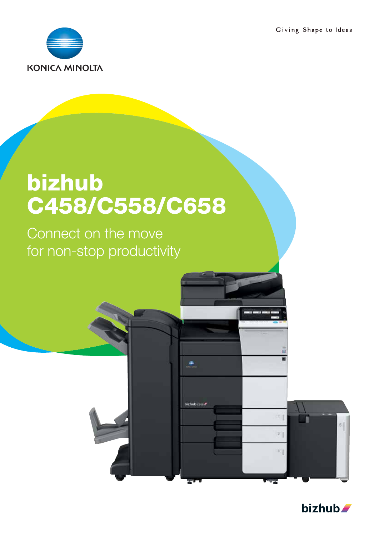Giving Shape to Ideas



# bizhub C458/C558/C658

٠

bizhub csaa

Connect on the move for non-stop productivity



51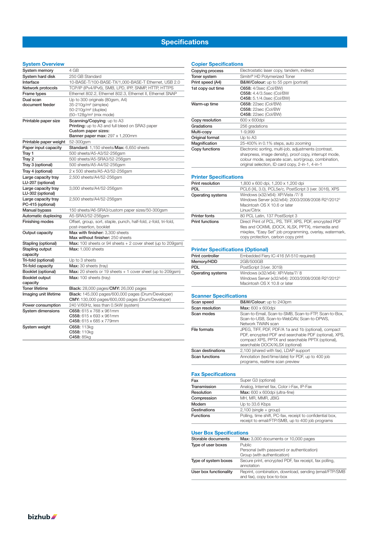## **Specifications**

### **System Overview**

| System memory                             | 4 GB                                                                                                        |
|-------------------------------------------|-------------------------------------------------------------------------------------------------------------|
| System hard disk                          | 250 GB Standard                                                                                             |
| Interface                                 | 10-BASE-T/100-BASE-TX/1,000-BASE-T Ethernet, USB 2.0                                                        |
| Network protocols                         | TCP/IP (IPv4/IPv6), SMB, LPD, IPP, SNMP, HTTP, HTTPS                                                        |
| Frame types                               | Ethernet 802.2, Ethernet 802.3, Ethernet II, Ethernet SNAP                                                  |
| Dual scan                                 | Up to 300 originals (80gsm, A4)                                                                             |
| document feeder                           | 35-210g/m <sup>2</sup> (simplex)                                                                            |
|                                           | 50-210g/m <sup>2</sup> (duplex)                                                                             |
|                                           | (50-128g/m <sup>2</sup> (mix mode)                                                                          |
| Printable paper size                      | Scanning/Copying: up to A3<br>Printing: up to A3 and full bleed on SRA3 paper                               |
|                                           | Custom paper sizes:                                                                                         |
|                                           | <b>Banner paper max: 297 x 1,200mm</b>                                                                      |
| Printable paper weight                    | 52-300gsm                                                                                                   |
| Paper input capacity                      | Standard: 1,150 sheets/Max: 6,650 sheets                                                                    |
| Tray 1                                    | 500 sheets/A5-A3/52-256gsm                                                                                  |
| Tray 2                                    | 500 sheets/A5-SRA3/52-256gsm                                                                                |
| Tray 3 (optional)                         | 500 sheets/A5-A4/52-256gsm                                                                                  |
| Tray 4 (optional)                         | 2 x 500 sheets/A5-A3/52-256gsm                                                                              |
| Large capacity tray                       | 2,500 sheets/A4/52-256gsm                                                                                   |
| LU-207 (optional)                         |                                                                                                             |
| Large capacity tray                       | 3,000 sheets/A4/52-256gsm                                                                                   |
| LU-302 (optional)                         |                                                                                                             |
| Large capacity tray                       | 2,500 sheets/A4/52-256gsm                                                                                   |
| PC-415 (optional)<br><b>Manual bypass</b> | 150 sheets/A6-SRA3/custom paper sizes/50-300gsm                                                             |
| Automatic duplexing                       | A5-SRA3/52-256gsm                                                                                           |
| Finishing modes                           | Offset, group, sort, staple, punch, half-fold, z-fold, tri-fold,                                            |
|                                           | post-insertion, booklet                                                                                     |
| Output capacity                           | Max with finisher: 3,300 sheets                                                                             |
|                                           | Max without finisher: 250 sheets                                                                            |
| Stapling (optional)                       | <b>Max:</b> 100 sheets or 94 sheets $+ 2$ cover sheet (up to 209gsm)                                        |
| Stapling output                           | Max: 1,000 sheets                                                                                           |
| capacity                                  |                                                                                                             |
| Tri-fold (optional)                       | Up to 3 sheets                                                                                              |
| Tri-fold capacity                         | Max: 30 sheets (tray)                                                                                       |
| Booklet (optional)                        | <b>Max:</b> 20 sheets or 19 sheets $+$ 1 cover sheet (up to 209gsm)                                         |
| Booklet output                            | Max: 100 sheets (tray)                                                                                      |
| capacity<br><b>Toner lifetime</b>         |                                                                                                             |
| Imaging unit lifetime                     | <b>Black:</b> 28,000 pages/ <b>CMY:</b> 26,000 pages<br>Black: 145,000 pages/600,000 pages (Drum/Developer) |
|                                           | CMY: 130,000 pages/600,000 pages (Drum/Developer)                                                           |
| Power consumption                         | 240 V/60Hz, less than 0.5kW (system)                                                                        |
| <b>System dimensions</b>                  | C658: 615 x 768 x 961mm                                                                                     |
|                                           | C558: 615 x 693 x 961mm                                                                                     |
|                                           | C458: 615 x 685 x 779mm                                                                                     |
| System weight                             | C658: 113kg                                                                                                 |
|                                           | C558: 110kg                                                                                                 |
|                                           | C458: 85kg                                                                                                  |

| Copying process   | Electrostatic laser copy, tandem, indirect                                                                                                                                                                                  |
|-------------------|-----------------------------------------------------------------------------------------------------------------------------------------------------------------------------------------------------------------------------|
| Toner system      | Simitri® HD Polymerized Toner                                                                                                                                                                                               |
| Print speed (A4)  | <b>B&amp;W/Colour:</b> up to 55 ppm (portrait)                                                                                                                                                                              |
| 1st copy out time | <b>C658:</b> 4/3sec (Col/BW)                                                                                                                                                                                                |
|                   | C558: 4.4/3.5sec (Col/BW                                                                                                                                                                                                    |
|                   | C458: 5.1/4.0sec (Col/BW)                                                                                                                                                                                                   |
| Warm-up time      | <b>C658:</b> 22sec (Col/BW)                                                                                                                                                                                                 |
|                   | <b>C558:</b> 22sec (Col/BW                                                                                                                                                                                                  |
|                   | <b>C458: 22sec (Col/BW)</b>                                                                                                                                                                                                 |
| Copy resolution   | 600 x 600dpi                                                                                                                                                                                                                |
| Gradations        | 256 gradations                                                                                                                                                                                                              |
| Multi-copy        | 1-9.999                                                                                                                                                                                                                     |
| Original format   | Up to A3                                                                                                                                                                                                                    |
| Magnification     | 25-400% in 0.1% steps, auto zooming                                                                                                                                                                                         |
| Copy functions    | Electronic sorting, multi-job, adjustments (contrast,<br>sharpness, image density), proof copy, interrupt mode,<br>colour mode, separate scan, sort/group, combination,<br>original selection, ID card copy, 2-in-1, 4-in-1 |

#### Printer Specifications

| Print resolution       | 1,800 x 600 dpi, 1,200 x 1,200 dpi                                                                                                                                                                           |
|------------------------|--------------------------------------------------------------------------------------------------------------------------------------------------------------------------------------------------------------|
| <b>PDL</b>             | PCL6 (XL 3.0), PCL5e/c, PostScript 3 (ver. 3016), XPS                                                                                                                                                        |
| Operating systems      | Windows (x32/x64): XP/Vista /7/8<br>Windows Server (x32/x64): 2003/2008/2008 R23/20123<br>Macintosh OS X 10.6 or later<br>Linux/Citrix                                                                       |
| <b>Printer fonts</b>   | 80 PCL Latin, 137 PostScript 3                                                                                                                                                                               |
| <b>Print functions</b> | Direct Print of PCL, PS, TIFF, XPS, PDF, encrypted PDF<br>files and OOXML (DOCX, XLSX, PPTX), mixmedia and<br>mixplex, "Easy Set" job programming, overlay, watermark,<br>copy protection, carbon copy print |

### Printer Specifications (Optional)

| Print controller  | Embedded Fiery IC-416 (VI-510 required)            |
|-------------------|----------------------------------------------------|
| Memory/HDD        | 2GB/500GB                                          |
| PDL               | PostScript 3 (ver. 3019)                           |
| Operating systems | Windows (x32/x64): XP/Vista/7/8                    |
|                   | Windows Server (x32/x64): 2003/2008/2008 R23/20123 |
|                   | Macintosh OS X 10.8 or later                       |

### Scanner Specifications

| Scan speed        | <b>B&amp;W/Colour:</b> up to 240ipm                                                                                                                                                                    |
|-------------------|--------------------------------------------------------------------------------------------------------------------------------------------------------------------------------------------------------|
| Scan resolution   | <b>Max:</b> 600 x 600dpi                                                                                                                                                                               |
| Scan modes        | Scan-to-Email, Scan-to-SMB, Scan-to-FTP, Scan-to-Box,<br>Scan-to-USB, Scan-to-WebDAV, Scan-to-DPWS,<br>Network TWAIN scan                                                                              |
| File formats      | JPEG, TIFF, PDF, PDF/A 1a and 1b (optional), compact<br>PDF, encrypted PDF and searchable PDF (optional), XPS,<br>compact XPS, PPTX and searchable PPTX (optional),<br>searchable DOCX/XLSX (optional) |
| Scan destinations | 2,100 (shared with fax), LDAP support                                                                                                                                                                  |
| Scan functions    | Annotation (text/time/date) for PDF, up to 400 job<br>programs, realtime scan preview                                                                                                                  |

### Fax Specifications

| Fax              | Super G3 (optional)                                                                                           |
|------------------|---------------------------------------------------------------------------------------------------------------|
| Transmission     | Analog, Internet fax, Color i-Fax, IP-Fax                                                                     |
| Resolution       | Max: 600 x 600dpi (ultra-fine)                                                                                |
| Compression      | MH, MR, MMR, JBIG                                                                                             |
| Modem            | Up to 33.6 Kbps                                                                                               |
| Destinations     | $2,100$ (single + group)                                                                                      |
| <b>Functions</b> | Polling, time shift, PC-fax, receipt to confidential box,<br>receipt to email/FTP/SMB, up to 400 job programs |

#### User Box Specifications

| Storable documents     | Max: 3,000 documents or 10,000 pages                                                 |
|------------------------|--------------------------------------------------------------------------------------|
| Type of user boxes     | Public<br>Personal (with password or authentication)<br>Group (with authentication)  |
| Type of system boxes   | Secure print, encrypted PDF, fax receipt, fax polling,<br>annotation                 |
| User box functionality | Reprint, combination, download, sending (email/FTP/SMB)<br>and fax), copy box-to-box |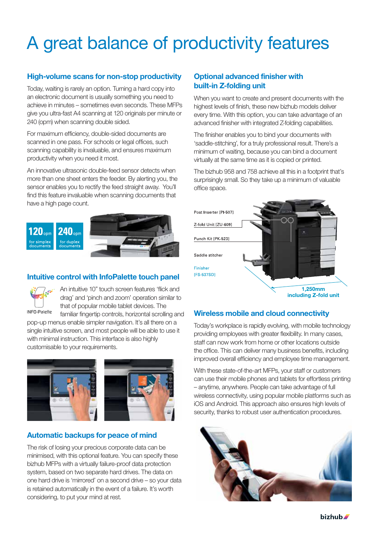## A great balance of productivity features

## High-volume scans for non-stop productivity

Today, waiting is rarely an option. Turning a hard copy into an electronic document is usually something you need to achieve in minutes – sometimes even seconds. These MFPs give you ultra-fast A4 scanning at 120 originals per minute or 240 (opm) when scanning double sided.

For maximum efficiency, double-sided documents are scanned in one pass. For schools or legal offices, such scanning capability is invaluable, and ensures maximum productivity when you need it most.

An innovative ultrasonic double-feed sensor detects when more than one sheet enters the feeder. By alerting you, the sensor enables you to rectify the feed straight away. You'll find this feature invaluable when scanning documents that have a high page count.



## Intuitive control with InfoPalette touch panel



An intuitive 10" touch screen features 'flick and drag' and 'pinch and zoom' operation similar to that of popular mobile tablet devices. The

**INFO-Palette** 

familiar fingertip controls, horizontal scrolling and pop-up menus enable simpler navigation. It's all there on a single intuitive screen, and most people will be able to use it with minimal instruction. This interface is also highly customisable to your requirements.



## Automatic backups for peace of mind

The risk of losing your precious corporate data can be minimised, with this optional feature. You can specify these bizhub MFPs with a virtually failure-proof data protection system, based on two separate hard drives. The data on one hard drive is 'mirrored' on a second drive – so your data is retained automatically in the event of a failure. It's worth considering, to put your mind at rest.

## Optional advanced finisher with built-in Z-folding unit

When you want to create and present documents with the highest levels of finish, these new bizhub models deliver every time. With this option, you can take advantage of an advanced finisher with integrated Z-folding capabilities.

The finisher enables you to bind your documents with 'saddle-stitching', for a truly professional result. There's a minimum of waiting, because you can bind a document virtually at the same time as it is copied or printed.

The bizhub 958 and 758 achieve all this in a footprint that's surprisingly small. So they take up a minimum of valuable office space.



## Wireless mobile and cloud connectivity

Today's workplace is rapidly evolving, with mobile technology providing employees with greater flexibility. In many cases, staff can now work from home or other locations outside the office. This can deliver many business benefits, including improved overall efficiency and employee time management.

With these state-of-the-art MFPs, your staff or customers can use their mobile phones and tablets for effortless printing – anytime, anywhere. People can take advantage of full wireless connectivity, using popular mobile platforms such as iOS and Android. This approach also ensures high levels of security, thanks to robust user authentication procedures.